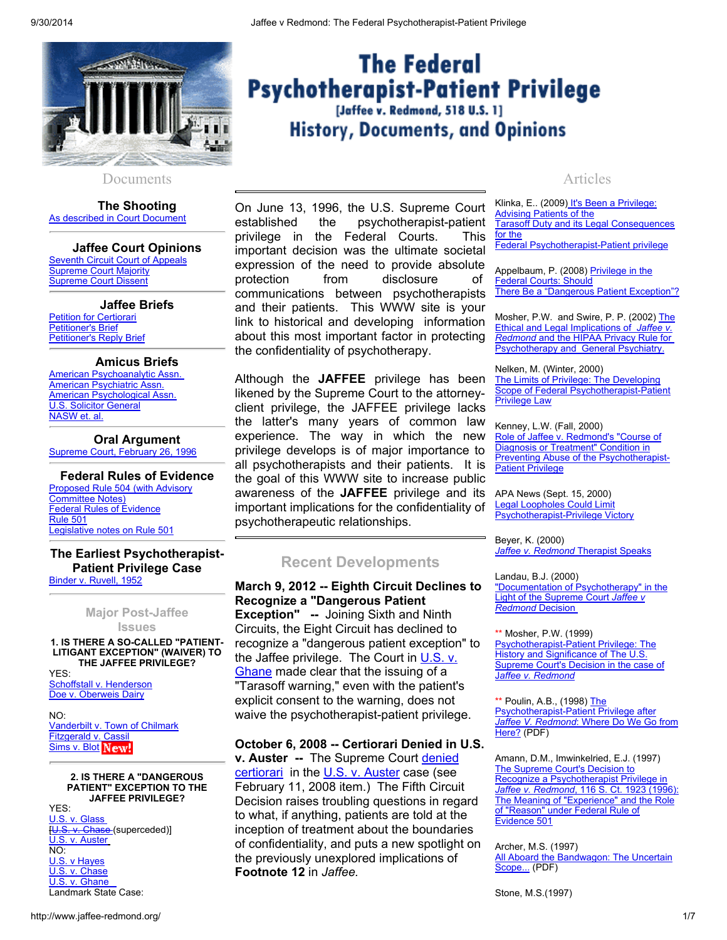

#### Documents

The Shooting As described in Court Document

Jaffee Court Opinions Seventh Circuit Court of Appeals Supreme Court Majority Supreme Court Dissent

Jaffee Briefs Petition for Certiorari Petitioner's Brief Petitioner's Reply Brief

# Amicus Briefs

American Psychoanalytic Assn. American Psychiatric Assn. American Psychological Assn. U.S. Solicitor General NASW et. al.

Oral Argument Supreme Court, February 26, 1996

Federal Rules of Evidence Proposed Rule 504 (with Advisory Committee Notes) Federal Rules of Evidence Rule 501 Legislative notes on Rule 501

#### The Earliest Psychotherapist-Patient Privilege Case Binder v. Ruvell, 1952

Major Post-Jaffee **Issues** 

1. IS THERE A SO-CALLED "PATIENT-LITIGANT EXCEPTION" (WAIVER) TO THE JAFFEE PRIVILEGE?

YES: Schoffstall v. Henderson Doe v. Oberweis Dairy

 $N()$ Vanderbilt v. Town of Chilmark Fitzgerald v. Cassil Sims v. Blot New!

#### 2. IS THERE A "DANGEROUS PATIENT" EXCEPTION TO THE JAFFEE PRIVILEGE?

YES: U.S. v. Glass [U.S. v. Chase (superceded)] U.S. v. Auster  $\overline{NO}$ U.S. v Hayes U.S. v. Chase U.S. v. Ghane Landmark State Case:

# Articles

On June 13, 1996, the U.S. Supreme Court established the psychotherapist-patient privilege in the Federal Courts. This important decision was the ultimate societal expression of the need to provide absolute protection from disclosure of communications between psychotherapists and their patients. This WWW site is your link to historical and developing information about this most important factor in protecting the confidentiality of psychotherapy.

Although the JAFFEE privilege has been likened by the Supreme Court to the attorneyclient privilege, the JAFFEE privilege lacks the latter's many years of common law experience. The way in which the new privilege develops is of major importance to all psychotherapists and their patients. It is the goal of this WWW site to increase public awareness of the JAFFEE privilege and its important implications for the confidentiality of psychotherapeutic relationships.

# Recent Developments

March 9, 2012 -- Eighth Circuit Declines to Recognize a "Dangerous Patient Exception" -- Joining Sixth and Ninth Circuits, the Eight Circuit has declined to recognize a "dangerous patient exception" to the Jaffee privilege. The Court in U.S. v. Ghane made clear that the issuing of a "Tarasoff warning," even with the patient's explicit consent to the warning, does not waive the psychotherapist-patient privilege.

# October 6, 2008 -- Certiorari Denied in U.S.

v. Auster -- The Supreme Court denied certiorari in the U.S. v. Auster case (see February 11, 2008 item.) The Fifth Circuit Decision raises troubling questions in regard to what, if anything, patients are told at the inception of treatment about the boundaries of confidentiality, and puts a new spotlight on the previously unexplored implications of Footnote 12 in *Jaffee.*

Klinka, E.. (2009[\)](http://ir.lawnet.fordham.edu/cgi/viewcontent.cgi?article=4484&context=flr) It's Been a Privilege: Advising Patients of the Tarasoff Duty and its Legal Consequences for the Federal Psychotherapist-Patient privilege

Appelbaum, P. (2008) Privilege in the Federal Courts: Should There Be a "Dangerous Patient Exception"?

Mosher, P.W. and Swire, P. P. (2002) The Ethical and Legal Implications of *Jaffee v. Redmond* and the HIPAA Privacy Rule for Psychotherapy and General Psychiatry.

Nelken, M. (Winter, 2000) The Limits of Privilege: The Developing Scope of Federal Psychotherapist-Patient Privilege Law

Kenney, L.W. (Fall, 2000) Role of Jaffee v. Redmond's "Course of Diagnosis or Treatment" Condition in Preventing Abuse of the Psychotherapist-**Patient Privilege** 

APA News (Sept. 15, 2000) Legal Loopholes Could Limit Psychotherapist-Privilege Victory

Beyer, K. (2000) *Jaffee v. Redmond* Therapist Speaks

Landau, B.J. (2000)

"Documentation of Psychotherapy" in the Light of the Supreme Court *Jaffee v Redmond* Decision

\*\* Mosher, P.W. (1999) Psychotherapist-Patient Privilege: The History and Significance of The U.S. Supreme Court's Decision in the case of J*affee v. Redmond*

\*\* Poulin, A.B., (1998) The Psychotherapist-Patient Privilege after *Jaffee V. Redmond*: Where Do We Go from Here? (PDF)

Amann, D.M., Imwinkelried, E.J. (1997) The Supreme Court's Decision to Recognize a Psychotherapist Privilege in *Jaffee v. Redmond*, 116 S. Ct. 1923 (1996): The Meaning of "Experience" and the Role of "Reason" under Federal Rule of Evidence 501

Archer, M.S. (1997) All Aboard the Bandwagon: The Uncertain

Scope... (PDF)

Stone, M.S.(1997)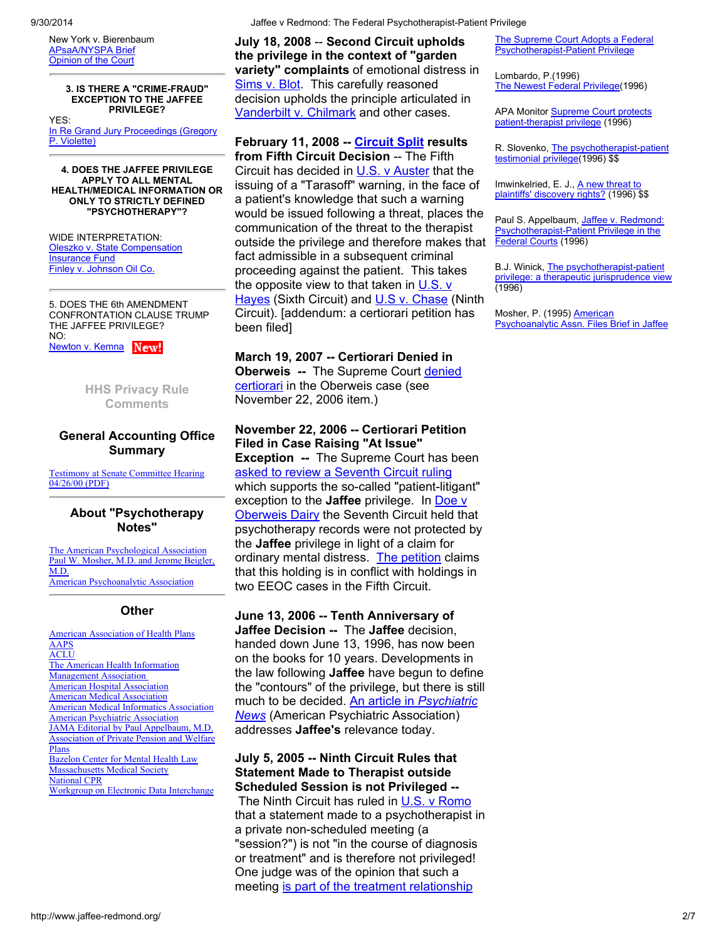New York v. Bierenbaum APsaA/NYSPA Brief Opinion of the Court

3. IS THERE A "CRIME-FRAUD" EXCEPTION TO THE JAFFEE PRIVILEGE? YES: In Re Grand Jury Proceedings (Gregory P. Violette)

4. DOES THE JAFFEE PRIVILEGE APPLY TO ALL MENTAL HEALTH/MEDICAL INFORMATION OR ONLY TO STRICTLY DEFINED "PSYCHOTHERAPY"?

WIDE INTERPRETATION: Oleszko v. State Compensation Insurance Fund Finley v. Johnson Oil Co.

5. DOES THE 6th AMENDMENT CONFRONTATION CLAUSE TRUMP THE JAFFEE PRIVILEGE? NO: Newton v. Kemna New!

> HHS Privacy Rule **Comments**

# General Accounting Office Summary

Testimony at Senate Committee Hearing 04/26/00 (PDF)

### About "Psychotherapy Notes"

The American Psychological Association Paul W. Mosher, M.D. and Jerome Beigler, M.D. American Psychoanalytic Association

#### **Other**

American Association of Health Plans AAPS ACLU The American Health Information Management Association American Hospital Association American Medical Association American Medical Informatics Association American Psychiatric Association JAMA Editorial by Paul Appelbaum, M.D. Association of Private Pension and Welfare Plans Bazelon Center for Mental Health Law Massachusetts Medical Society National CPR Workgroup on Electronic Data Interchange July 18, 2008 -- Second Circuit upholds the privilege in the context of "garden variety" complaints of emotional distress in Sims v. Blot. This carefully reasoned decision upholds the principle articulated in Vanderbilt v. Chilmark and other cases.

# February 11, 2008 -- Circuit Split results

from Fifth Circuit Decision -- The Fifth Circuit has decided in U.S. v Auster that the issuing of a "Tarasoff" warning, in the face of a patient's knowledge that such a warning would be issued following a threat, places the communication of the threat to the therapist outside the privilege and therefore makes that fact admissible in a subsequent criminal proceeding against the patient. This takes the opposite view to that taken in  $U.S.$  v Hayes (Sixth Circuit) and U.S v. Chase (Ninth Circuit). [addendum: a certiorari petition has been filed]

#### March 19, 2007 -- Certiorari Denied in

Oberweis -- The Supreme Court denied certiorari in the Oberweis case (see November 22, 2006 item.)

### November 22, 2006 -- Certiorari Petition Filed in Case Raising "At Issue"

Exception -- The Supreme Court has been asked to review a Seventh Circuit ruling which supports the so-called "patient-litigant" exception to the **Jaffee** privilege. In Doe v **Oberweis Dairy the Seventh Circuit held that** psychotherapy records were not protected by the **Jaffee** privilege in light of a claim for ordinary mental distress. The petition claims that this holding is in conflict with holdings in two EEOC cases in the Fifth Circuit.

June 13, 2006 -- Tenth Anniversary of Jaffee Decision -- The Jaffee decision, handed down June 13, 1996, has now been on the books for 10 years. Developments in the law following **Jaffee** have begun to define the "contours" of the privilege, but there is still much to be decided. An article in *Psychiatric News* (American Psychiatric Association) addresses Jaffee's relevance today.

July 5, 2005 -- Ninth Circuit Rules that Statement Made to Therapist outside Scheduled Session is not Privileged -- The Ninth Circuit has ruled in U.S. v Romo that a statement made to a psychotherapist in a private non-scheduled meeting (a "session?") is not "in the course of diagnosis or treatment" and is therefore not privileged! One judge was of the opinion that such a meeting is part of the treatment relationship

The Supreme Court Adopts a Federal Psychotherapist-Patient Privilege

Lombardo, P.(1996) The Newest Federal Privilege(1996)

APA Monitor Supreme Court protects patient-therapist privilege (1996)

R. Slovenko, The psychotherapist-patient testimonial privilege(1996) \$\$

Imwinkelried, E. J., A new threat to plaintiffs' discovery rights? (1996) \$\$

Paul S. Appelbaum, Jaffee v. Redmond: Psychotherapist-Patient Privilege in the Federal Courts (1996)

B.J. Winick, The psychotherapist-patient privilege: a therapeutic jurisprudence view (1996)

Mosher, P. (1995) American Psychoanalytic Assn. Files Brief in Jaffee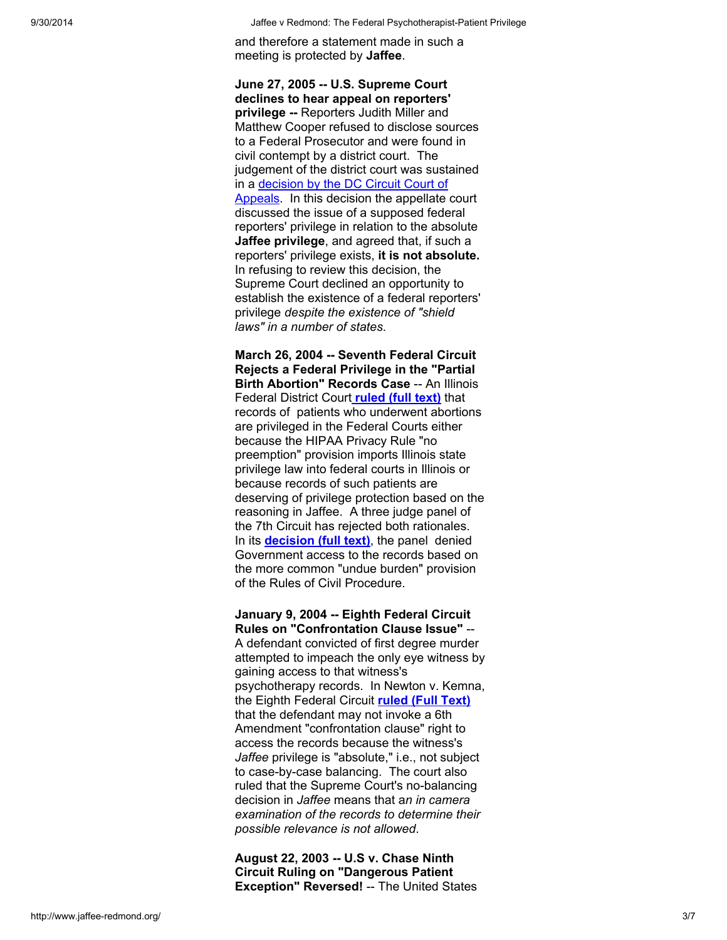and therefore a statement made in such a meeting is protected by Jaffee.

June 27, 2005 -- U.S. Supreme Court declines to hear appeal on reporters' privilege -- Reporters Judith Miller and Matthew Cooper refused to disclose sources to a Federal Prosecutor and were found in civil contempt by a district court. The judgement of the district court was sustained in a decision by the DC Circuit Court of Appeals. In this decision the appellate court discussed the issue of a supposed federal reporters' privilege in relation to the absolute Jaffee privilege, and agreed that, if such a reporters' privilege exists, it is not absolute. In refusing to review this decision, the Supreme Court declined an opportunity to establish the existence of a federal reporters' privilege *despite the existence of "shield laws" in a number of states.*

March 26, 2004 -- Seventh Federal Circuit Rejects a Federal Privilege in the "Partial Birth Abortion" Records Case -- An Illinois Federal District Court ruled (full text) that records of patients who underwent abortions are privileged in the Federal Courts either because the HIPAA Privacy Rule "no preemption" provision imports Illinois state privilege law into federal courts in Illinois or because records of such patients are deserving of privilege protection based on the reasoning in Jaffee. A three judge panel of the 7th Circuit has rejected both rationales. In its **decision (full text)**, the panel denied Government access to the records based on the more common "undue burden" provision of the Rules of Civil Procedure.

January 9, 2004 -- Eighth Federal Circuit Rules on "Confrontation Clause Issue" --

A defendant convicted of first degree murder attempted to impeach the only eye witness by gaining access to that witness's psychotherapy records. In Newton v. Kemna, the Eighth Federal Circuit ruled (Full Text) that the defendant may not invoke a 6th Amendment "confrontation clause" right to access the records because the witness's *Jaffee* privilege is "absolute," i.e., not subject to case-by-case balancing. The court also ruled that the Supreme Court's no-balancing decision in *Jaffee* means that a*n in camera examination of the records to determine their possible relevance is not allowed*.

August 22, 2003 -- U.S v. Chase Ninth Circuit Ruling on "Dangerous Patient Exception" Reversed! -- The United States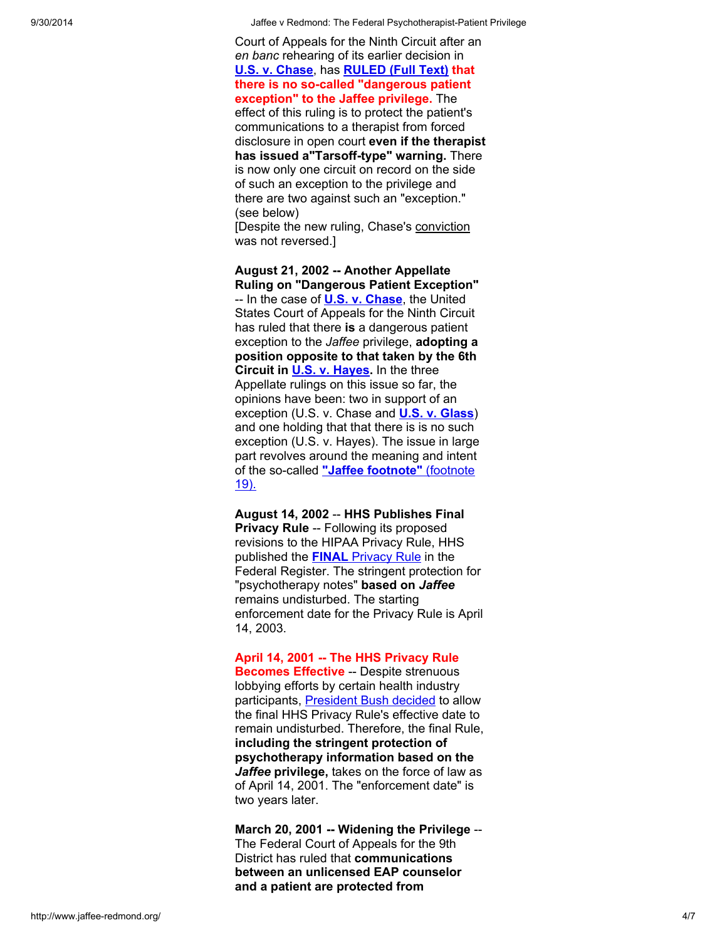Court of Appeals for the Ninth Circuit after an en banc rehearing of its earlier decision in U.S. v. Chase, has RULED (Full Text) that there is no so-called "dangerous patient exception" to the Jaffee privilege. The effect of this ruling is to protect the patient's communications to a therapist from forced disclosure in open court even if the therapist has issued a"Tarsoff-type" warning. There is now only one circuit on record on the side of such an exception to the privilege and there are two against such an "exception." (see below)

[Despite the new ruling, Chase's conviction was not reversed.]

August 21, 2002 -- Another Appellate Ruling on "Dangerous Patient Exception" -- In the case of **U.S. v. Chase**, the United States Court of Appeals for the Ninth Circuit has ruled that there is a dangerous patient exception to the *Jaffee* privilege, adopting a position opposite to that taken by the 6th Circuit in **U.S. v. Hayes**. In the three Appellate rulings on this issue so far, the opinions have been: two in support of an exception (U.S. v. Chase and U.S. v. Glass) and one holding that that there is is no such exception (U.S. v. Hayes). The issue in large part revolves around the meaning and intent of the so-called "Jaffee footnote" (footnote 19).

August 14, 2002 -- HHS Publishes Final Privacy Rule -- Following its proposed revisions to the HIPAA Privacy Rule, HHS published the **FINAL** Privacy Rule in the Federal Register. The stringent protection for "psychotherapy notes" based on *Jaffee* remains undisturbed. The starting enforcement date for the Privacy Rule is April 14, 2003.

April 14, 2001 -- The HHS Privacy Rule Becomes Effective -- Despite strenuous

lobbying efforts by certain health industry participants, President Bush decided to allow the final HHS Privacy Rule's effective date to remain undisturbed. Therefore, the final Rule, including the stringent protection of psychotherapy information based on the *Jaffee* privilege, takes on the force of law as of April 14, 2001. The "enforcement date" is two years later.

March 20, 2001 -- Widening the Privilege -- The Federal Court of Appeals for the 9th District has ruled that communications between an unlicensed EAP counselor and a patient are protected from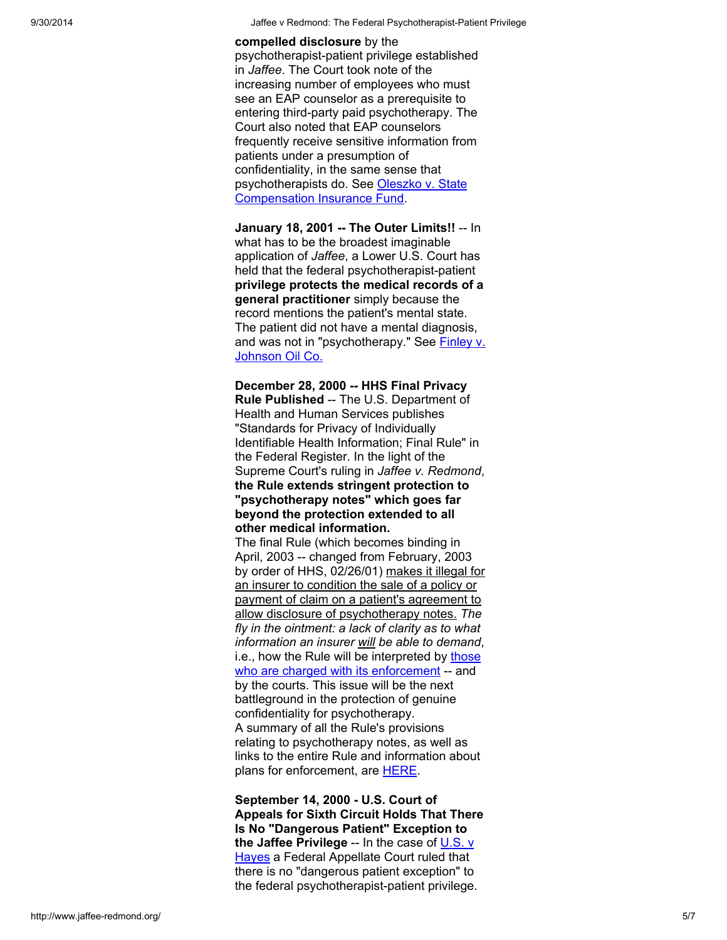### compelled disclosure by the

psychotherapist-patient privilege established in *Jaffee*. The Court took note of the increasing number of employees who must see an EAP counselor as a prerequisite to entering third-party paid psychotherapy. The Court also noted that EAP counselors frequently receive sensitive information from patients under a presumption of confidentiality, in the same sense that psychotherapists do. See Oleszko v. State Compensation Insurance Fund.

January 18, 2001 -- The Outer Limits!! -- In what has to be the broadest imaginable application of *Jaffee*, a Lower U.S. Court has held that the federal psychotherapist-patient privilege protects the medical records of a general practitioner simply because the record mentions the patient's mental state. The patient did not have a mental diagnosis, and was not in "psychotherapy." See Finley v. Johnson Oil Co.

December 28, 2000 -- HHS Final Privacy Rule Published -- The U.S. Department of Health and Human Services publishes "Standards for Privacy of Individually Identifiable Health Information; Final Rule" in the Federal Register. In the light of the Supreme Court's ruling in *Jaffee v. Redmond*, the Rule extends stringent protection to "psychotherapy notes" which goes far beyond the protection extended to all other medical information.

The final Rule (which becomes binding in April, 2003 -- changed from February, 2003 by order of HHS, 02/26/01) makes it illegal for an insurer to condition the sale of a policy or payment of claim on a patient's agreement to allow disclosure of psychotherapy notes. *The fly in the ointment: a lack of clarity as to what information an insurer will be able to demand*, i.e., how the Rule will be interpreted by those who are charged with its enforcement -- and by the courts. This issue will be the next battleground in the protection of genuine confidentiality for psychotherapy. A summary of all the Rule's provisions relating to psychotherapy notes, as well as links to the entire Rule and information about plans for enforcement, are **HERE**.

September 14, 2000 - U.S. Court of Appeals for Sixth Circuit Holds That There Is No "Dangerous Patient" Exception to the Jaffee Privilege -- In the case of  $\underline{\mathsf{U.S.}\ \mathsf{v}}$ **Hayes a Federal Appellate Court ruled that** there is no "dangerous patient exception" to the federal psychotherapist-patient privilege.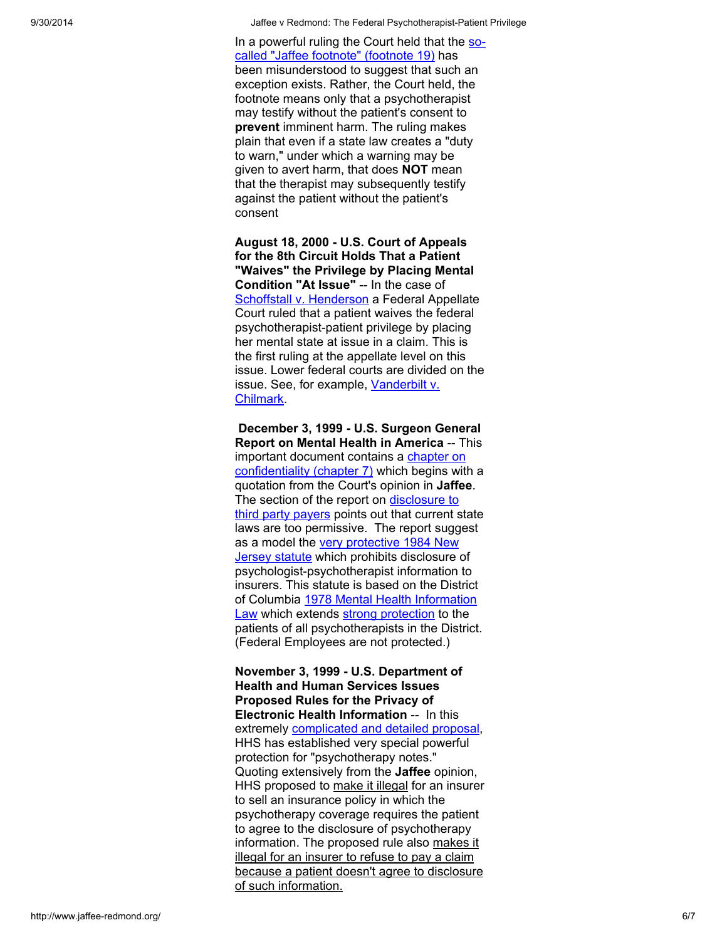In a powerfin ruling the Court held that the someone of the state someone of the state of the state of minute the court method of the state of the state of the state of the state of the state of the state of the state of t